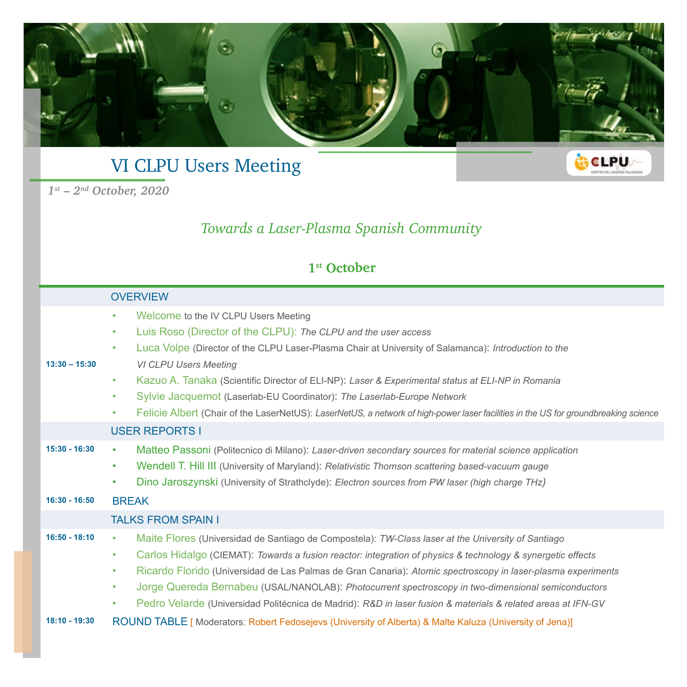

## VI CLPU Users Meeting

*1st – 2nd October, 2020*

#### *Towards a Laser-Plasma Spanish Community*

#### **1st October**

#### **OVERVIEW 13:30 – 15:30** • Welcome to the IV CLPU Users Meeting • Luis Roso (Director of the CLPU): *The CLPU and the user access* • Luca Volpe (Director of the CLPU Laser-Plasma Chair at University of Salamanca): *Introduction to the VI CLPU Users Meeting* • Kazuo A. Tanaka (Scientific Director of ELI-NP): *Laser & Experimental status at ELI-NP in Romania* • Sylvie Jacquemot (Laserlab-EU Coordinator): *The Laserlab-Europe Network* • Felicie Albert (Chair of the LaserNetUS): *LaserNetUS, a network of high-power laser facilities in the US for groundbreaking science* USER REPORTS I **15:30 - 16:30** • Matteo Passoni (Politecnico di Milano): *Laser-driven secondary sources for material science application*  • Wendell T. Hill III (University of Maryland): *Relativistic Thomson scattering based-vacuum gauge* • Dino Jaroszynski (University of Strathclyde): *Electron sources from PW laser (high charge THz)* **16:30 - 16:50** BREAK TAI KS FROM SPAIN I **16:50 - 18:10** • Maite Flores (Universidad de Santiago de Compostela): *TW-Class laser at the University of Santiago* • Carlos Hidalgo (CIEMAT): *Towards a fusion reactor: integration of physics & technology & synergetic effects* • Ricardo Florido (Universidad de Las Palmas de Gran Canaria): *Atomic spectroscopy in laser-plasma experiments* • Jorge Quereda Bernabeu (USAL/NANOLAB): *Photocurrent spectroscopy in two-dimensional semiconductors* • Pedro Velarde (Universidad Politécnica de Madrid): *R&D in laser fusion & materials & related areas at IFN-GV* **18:10 - 19:30** ROUND TABLE [ Moderators: Robert Fedosejevs (University of Alberta) & Malte Kaluza (University of Jena)]